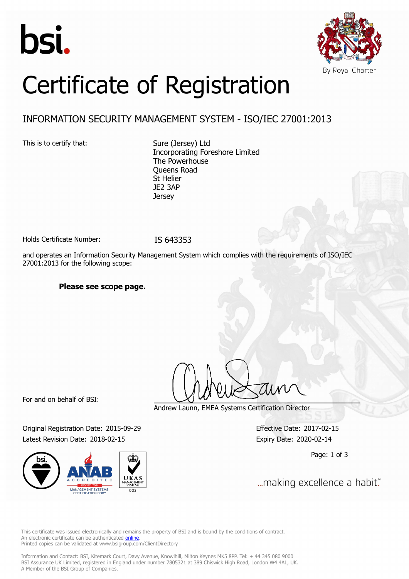



# Certificate of Registration

### INFORMATION SECURITY MANAGEMENT SYSTEM - ISO/IEC 27001:2013

This is to certify that: Sure (Jersey) Ltd

Incorporating Foreshore Limited The Powerhouse Queens Road St Helier JE2 3AP **Jersey** 

Holds Certificate Number: IS 643353

and operates an Information Security Management System which complies with the requirements of ISO/IEC 27001:2013 for the following scope:

#### **Please see scope page.**

For and on behalf of BSI:

Original Registration Date: 2015-09-29 Effective Date: 2017-02-15 Latest Revision Date: 2018-02-15 Expiry Date: 2020-02-14



Andrew Launn, EMEA Systems Certification Director

Page: 1 of 3

... making excellence a habit."

This certificate was issued electronically and remains the property of BSI and is bound by the conditions of contract. An electronic certificate can be authenticated **[online](https://pgplus.bsigroup.com/CertificateValidation/CertificateValidator.aspx?CertificateNumber=IS+643353&ReIssueDate=15%2f02%2f2018&Template=uk)**. Printed copies can be validated at www.bsigroup.com/ClientDirectory

Information and Contact: BSI, Kitemark Court, Davy Avenue, Knowlhill, Milton Keynes MK5 8PP. Tel: + 44 345 080 9000 BSI Assurance UK Limited, registered in England under number 7805321 at 389 Chiswick High Road, London W4 4AL, UK. A Member of the BSI Group of Companies.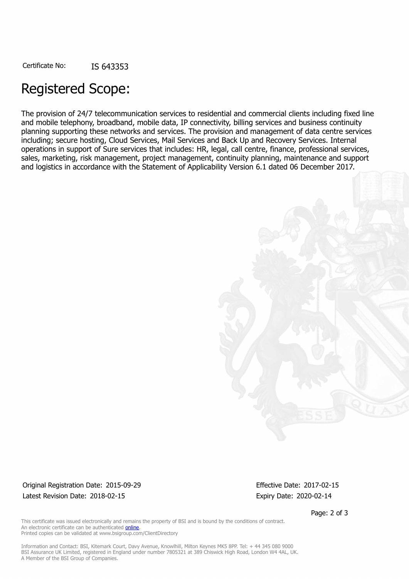## Registered Scope:

The provision of 24/7 telecommunication services to residential and commercial clients including fixed line and mobile telephony, broadband, mobile data, IP connectivity, billing services and business continuity planning supporting these networks and services. The provision and management of data centre services including; secure hosting, Cloud Services, Mail Services and Back Up and Recovery Services. Internal operations in support of Sure services that includes: HR, legal, call centre, finance, professional services, sales, marketing, risk management, project management, continuity planning, maintenance and support and logistics in accordance with the Statement of Applicability Version 6.1 dated 06 December 2017.



#### Original Registration Date: 2015-09-29 Effective Date: 2017-02-15 Latest Revision Date: 2018-02-15 Expiry Date: 2020-02-14

Page: 2 of 3

This certificate was issued electronically and remains the property of BSI and is bound by the conditions of contract. An electronic certificate can be authenticated [online](https://pgplus.bsigroup.com/CertificateValidation/CertificateValidator.aspx?CertificateNumber=IS+643353&ReIssueDate=15%2f02%2f2018&Template=uk). Printed copies can be validated at www.bsigroup.com/ClientDirectory

Information and Contact: BSI, Kitemark Court, Davy Avenue, Knowlhill, Milton Keynes MK5 8PP. Tel: + 44 345 080 9000 BSI Assurance UK Limited, registered in England under number 7805321 at 389 Chiswick High Road, London W4 4AL, UK. A Member of the BSI Group of Companies.